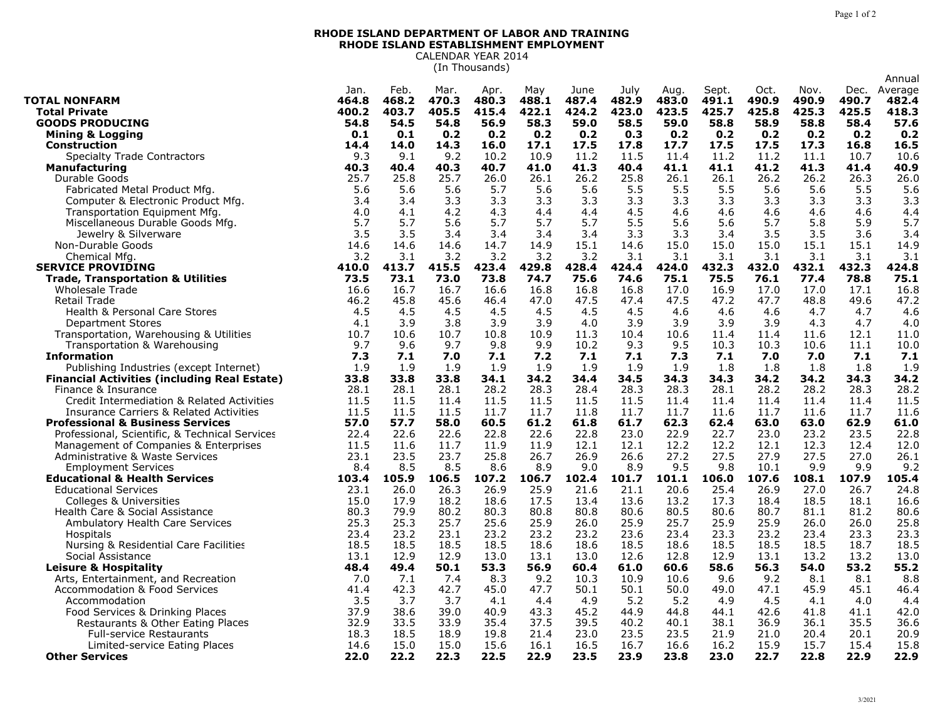## **RHODE ISLAND DEPARTMENT OF LABOR AND TRAINING RHODE ISLAND ESTABLISHMENT EMPLOYMENT** CALENDAR YEAR 2014

(In Thousands)

|                                                     |       |       |       |       |       |       |       |       |       |       |       |       | Annual  |
|-----------------------------------------------------|-------|-------|-------|-------|-------|-------|-------|-------|-------|-------|-------|-------|---------|
|                                                     | Jan.  | Feb.  | Mar.  | Apr.  | May   | June  | July  | Aug.  | Sept. | Oct.  | Nov.  | Dec.  | Average |
| <b>TOTAL NONFARM</b>                                | 464.8 | 468.2 | 470.3 | 480.3 | 488.1 | 487.4 | 482.9 | 483.0 | 491.1 | 490.9 | 490.9 | 490.7 | 482.4   |
| <b>Total Private</b>                                | 400.2 | 403.7 | 405.5 | 415.4 | 422.1 | 424.2 | 423.0 | 423.5 | 425.7 | 425.8 | 425.3 | 425.5 | 418.3   |
| <b>GOODS PRODUCING</b>                              | 54.8  | 54.5  | 54.8  | 56.9  | 58.3  | 59.0  | 58.5  | 59.0  | 58.8  | 58.9  | 58.8  | 58.4  | 57.6    |
| <b>Mining &amp; Logging</b>                         | 0.1   | 0.1   | 0.2   | 0.2   | 0.2   | 0.2   | 0.3   | 0.2   | 0.2   | 0.2   | 0.2   | 0.2   | 0.2     |
| <b>Construction</b>                                 | 14.4  | 14.0  | 14.3  | 16.0  | 17.1  | 17.5  | 17.8  | 17.7  | 17.5  | 17.5  | 17.3  | 16.8  | 16.5    |
| <b>Specialty Trade Contractors</b>                  | 9.3   | 9.1   | 9.2   | 10.2  | 10.9  | 11.2  | 11.5  | 11.4  | 11.2  | 11.2  | 11.1  | 10.7  | 10.6    |
| <b>Manufacturing</b>                                | 40.3  | 40.4  | 40.3  | 40.7  | 41.0  | 41.3  | 40.4  | 41.1  | 41.1  | 41.2  | 41.3  | 41.4  | 40.9    |
| Durable Goods                                       | 25.7  | 25.8  | 25.7  | 26.0  | 26.1  | 26.2  | 25.8  | 26.1  | 26.1  | 26.2  | 26.2  | 26.3  | 26.0    |
| Fabricated Metal Product Mfg.                       | 5.6   | 5.6   | 5.6   | 5.7   | 5.6   | 5.6   | 5.5   | 5.5   | 5.5   | 5.6   | 5.6   | 5.5   | 5.6     |
| Computer & Electronic Product Mfg.                  | 3.4   | 3.4   | 3.3   | 3.3   | 3.3   | 3.3   | 3.3   | 3.3   | 3.3   | 3.3   | 3.3   | 3.3   | 3.3     |
| Transportation Equipment Mfg.                       | 4.0   | 4.1   | 4.2   | 4.3   | 4.4   | 4.4   | 4.5   | 4.6   | 4.6   | 4.6   | 4.6   | 4.6   | 4.4     |
| Miscellaneous Durable Goods Mfg.                    | 5.7   | 5.7   | 5.6   | 5.7   | 5.7   | 5.7   | 5.5   | 5.6   | 5.6   | 5.7   | 5.8   | 5.9   | 5.7     |
| Jewelry & Silverware                                | 3.5   | 3.5   | 3.4   | 3.4   | 3.4   | 3.4   | 3.3   | 3.3   | 3.4   | 3.5   | 3.5   | 3.6   | 3.4     |
| Non-Durable Goods                                   | 14.6  | 14.6  | 14.6  | 14.7  | 14.9  | 15.1  | 14.6  | 15.0  | 15.0  | 15.0  | 15.1  | 15.1  | 14.9    |
| Chemical Mfg                                        | 3.2   | 3.1   | 3.2   | 3.2   | 3.2   | 3.2   | 3.1   | 3.1   | 3.1   | 3.1   | 3.1   | 3.1   | 3.1     |
| <b>SERVICE PROVIDING</b>                            | 410.0 | 413.7 | 415.5 | 423.4 | 429.8 | 428.4 | 424.4 | 424.0 | 432.3 | 432.0 | 432.1 | 432.3 | 424.8   |
| <b>Trade, Transportation &amp; Utilities</b>        | 73.5  | 73.1  | 73.0  | 73.8  | 74.7  | 75.6  | 74.6  | 75.1  | 75.5  | 76.1  | 77.4  | 78.8  | 75.1    |
| <b>Wholesale Trade</b>                              | 16.6  | 16.7  | 16.7  | 16.6  | 16.8  | 16.8  | 16.8  | 17.0  | 16.9  | 17.0  | 17.0  | 17.1  | 16.8    |
| Retail Trade                                        | 46.2  | 45.8  | 45.6  | 46.4  | 47.0  | 47.5  | 47.4  | 47.5  | 47.2  | 47.7  | 48.8  | 49.6  | 47.2    |
| Health & Personal Care Stores                       | 4.5   | 4.5   | 4.5   | 4.5   | 4.5   | 4.5   | 4.5   | 4.6   | 4.6   | 4.6   | 4.7   | 4.7   | 4.6     |
| <b>Department Stores</b>                            | 4.1   | 3.9   | 3.8   | 3.9   | 3.9   | 4.0   | 3.9   | 3.9   | 3.9   | 3.9   | 4.3   | 4.7   | 4.0     |
| Transportation, Warehousing & Utilities             | 10.7  | 10.6  | 10.7  | 10.8  | 10.9  | 11.3  | 10.4  | 10.6  | 11.4  | 11.4  | 11.6  | 12.1  | 11.0    |
| Transportation & Warehousing                        | 9.7   | 9.6   | 9.7   | 9.8   | 9.9   | 10.2  | 9.3   | 9.5   | 10.3  | 10.3  | 10.6  | 11.1  | 10.0    |
| <b>Information</b>                                  | 7.3   | 7.1   | 7.0   | 7.1   | 7.2   | 7.1   | 7.1   | 7.3   | 7.1   | 7.0   | 7.0   | 7.1   | 7.1     |
| Publishing Industries (except Internet)             | 1.9   | 1.9   | 1.9   | 1.9   | 1.9   | 1.9   | 1.9   | 1.9   | 1.8   | 1.8   | 1.8   | 1.8   | 1.9     |
| <b>Financial Activities (including Real Estate)</b> | 33.8  | 33.8  | 33.8  | 34.1  | 34.2  | 34.4  | 34.5  | 34.3  | 34.3  | 34.2  | 34.2  | 34.3  | 34.2    |
| Finance & Insurance                                 | 28.1  | 28.1  | 28.1  | 28.2  | 28.3  | 28.4  | 28.3  | 28.3  | 28.1  | 28.2  | 28.2  | 28.3  | 28.2    |
| Credit Intermediation & Related Activities          | 11.5  | 11.5  | 11.4  | 11.5  | 11.5  | 11.5  | 11.5  | 11.4  | 11.4  | 11.4  | 11.4  | 11.4  | 11.5    |
| <b>Insurance Carriers &amp; Related Activities</b>  | 11.5  | 11.5  | 11.5  | 11.7  | 11.7  | 11.8  | 11.7  | 11.7  | 11.6  | 11.7  | 11.6  | 11.7  | 11.6    |
| <b>Professional &amp; Business Services</b>         | 57.0  | 57.7  | 58.0  | 60.5  | 61.2  | 61.8  | 61.7  | 62.3  | 62.4  | 63.0  | 63.0  | 62.9  | 61.0    |
| Professional, Scientific, & Technical Services      | 22.4  | 22.6  | 22.6  | 22.8  | 22.6  | 22.8  | 23.0  | 22.9  | 22.7  | 23.0  | 23.2  | 23.5  | 22.8    |
| Management of Companies & Enterprises               | 11.5  | 11.6  | 11.7  | 11.9  | 11.9  | 12.1  | 12.1  | 12.2  | 12.2  | 12.1  | 12.3  | 12.4  | 12.0    |
| Administrative & Waste Services                     | 23.1  | 23.5  | 23.7  | 25.8  | 26.7  | 26.9  | 26.6  | 27.2  | 27.5  | 27.9  | 27.5  | 27.0  | 26.1    |
| <b>Employment Services</b>                          | 8.4   | 8.5   | 8.5   | 8.6   | 8.9   | 9.0   | 8.9   | 9.5   | 9.8   | 10.1  | 9.9   | 9.9   | 9.2     |
| <b>Educational &amp; Health Services</b>            | 103.4 | 105.9 | 106.5 | 107.2 | 106.7 | 102.4 | 101.7 | 101.1 | 106.0 | 107.6 | 108.1 | 107.9 | 105.4   |
| <b>Educational Services</b>                         | 23.1  | 26.0  | 26.3  | 26.9  | 25.9  | 21.6  | 21.1  | 20.6  | 25.4  | 26.9  | 27.0  | 26.7  | 24.8    |
| <b>Colleges &amp; Universities</b>                  | 15.0  | 17.9  | 18.2  | 18.6  | 17.5  | 13.4  | 13.6  | 13.2  | 17.3  | 18.4  | 18.5  | 18.1  | 16.6    |
| Health Care & Social Assistance                     | 80.3  | 79.9  | 80.2  | 80.3  | 80.8  | 80.8  | 80.6  | 80.5  | 80.6  | 80.7  | 81.1  | 81.2  | 80.6    |
| Ambulatory Health Care Services                     | 25.3  | 25.3  | 25.7  | 25.6  | 25.9  | 26.0  | 25.9  | 25.7  | 25.9  | 25.9  | 26.0  | 26.0  | 25.8    |
| Hospitals                                           | 23.4  | 23.2  | 23.1  | 23.2  | 23.2  | 23.2  | 23.6  | 23.4  | 23.3  | 23.2  | 23.4  | 23.3  | 23.3    |
| Nursing & Residential Care Facilities               | 18.5  | 18.5  | 18.5  | 18.5  | 18.6  | 18.6  | 18.5  | 18.6  | 18.5  | 18.5  | 18.5  | 18.7  | 18.5    |
| Social Assistance                                   | 13.1  | 12.9  | 12.9  | 13.0  | 13.1  | 13.0  | 12.6  | 12.8  | 12.9  | 13.1  | 13.2  | 13.2  | 13.0    |
| Leisure & Hospitality                               | 48.4  | 49.4  | 50.1  | 53.3  | 56.9  | 60.4  | 61.0  | 60.6  | 58.6  | 56.3  | 54.0  | 53.2  | 55.2    |
| Arts, Entertainment, and Recreation                 | 7.0   | 7.1   | 7.4   | 8.3   | 9.2   | 10.3  | 10.9  | 10.6  | 9.6   | 9.2   | 8.1   | 8.1   | 8.8     |
| <b>Accommodation &amp; Food Services</b>            | 41.4  | 42.3  | 42.7  | 45.0  | 47.7  | 50.1  | 50.1  | 50.0  | 49.0  | 47.1  | 45.9  | 45.1  | 46.4    |
| Accommodation                                       | 3.5   | 3.7   | 3.7   | 4.1   | 4.4   | 4.9   | 5.2   | 5.2   | 4.9   | 4.5   | 4.1   | 4.0   | 4.4     |
| Food Services & Drinking Places                     | 37.9  | 38.6  | 39.0  | 40.9  | 43.3  | 45.2  | 44.9  | 44.8  | 44.1  | 42.6  | 41.8  | 41.1  | 42.0    |
| Restaurants & Other Eating Places                   | 32.9  | 33.5  | 33.9  | 35.4  | 37.5  | 39.5  | 40.2  | 40.1  | 38.1  | 36.9  | 36.1  | 35.5  | 36.6    |
| <b>Full-service Restaurants</b>                     | 18.3  | 18.5  | 18.9  | 19.8  | 21.4  | 23.0  | 23.5  | 23.5  | 21.9  | 21.0  | 20.4  | 20.1  | 20.9    |
| Limited-service Eating Places                       | 14.6  | 15.0  | 15.0  | 15.6  | 16.1  | 16.5  | 16.7  | 16.6  | 16.2  | 15.9  | 15.7  | 15.4  | 15.8    |
| <b>Other Services</b>                               | 22.0  | 22.2  | 22.3  | 22.5  | 22.9  | 23.5  | 23.9  | 23.8  | 23.0  | 22.7  | 22.8  | 22.9  | 22.9    |